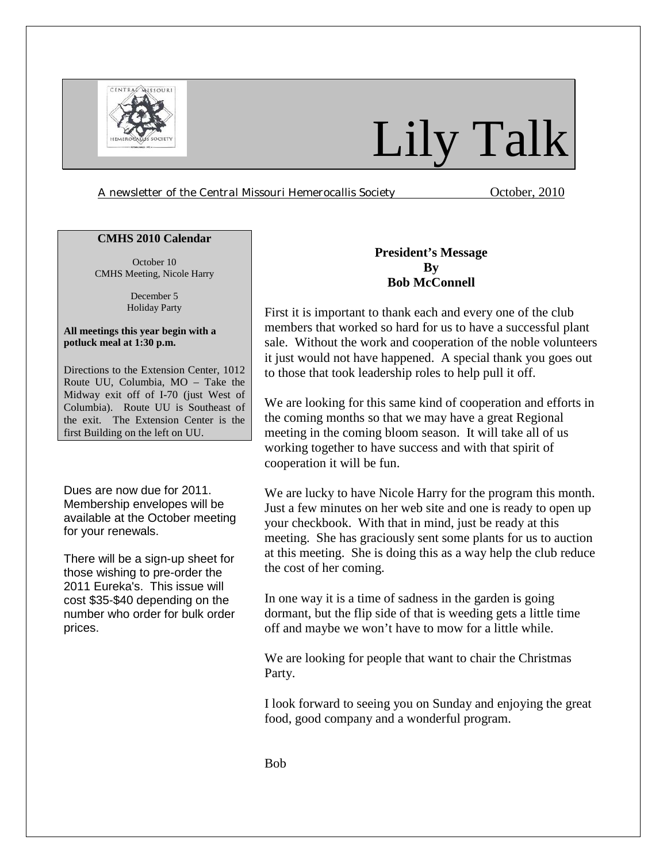

# Lily Talk

*A newsletter of the Central Missouri Hemerocallis Society* October, 2010

### **CMHS 2010 Calendar**

October 10 CMHS Meeting, Nicole Harry

> December 5 Holiday Party

#### **All meetings this year begin with a potluck meal at 1:30 p.m.**

Directions to the Extension Center, 1012 Route UU, Columbia, MO – Take the Midway exit off of I-70 (just West of Columbia). Route UU is Southeast of the exit. The Extension Center is the first Building on the left on UU.

Dues are now due for 2011. Membership envelopes will be available at the October meeting for your renewals.

There will be a sign-up sheet for those wishing to pre-order the 2011 Eureka's. This issue will cost \$35-\$40 depending on the number who order for bulk order prices.

# **President's Message By Bob McConnell**

First it is important to thank each and every one of the club members that worked so hard for us to have a successful plant sale. Without the work and cooperation of the noble volunteers it just would not have happened. A special thank you goes out to those that took leadership roles to help pull it off.

We are looking for this same kind of cooperation and efforts in the coming months so that we may have a great Regional meeting in the coming bloom season. It will take all of us working together to have success and with that spirit of cooperation it will be fun.

We are lucky to have Nicole Harry for the program this month. Just a few minutes on her web site and one is ready to open up your checkbook. With that in mind, just be ready at this meeting. She has graciously sent some plants for us to auction at this meeting. She is doing this as a way help the club reduce the cost of her coming.

In one way it is a time of sadness in the garden is going dormant, but the flip side of that is weeding gets a little time off and maybe we won't have to mow for a little while.

We are looking for people that want to chair the Christmas Party.

I look forward to seeing you on Sunday and enjoying the great food, good company and a wonderful program.